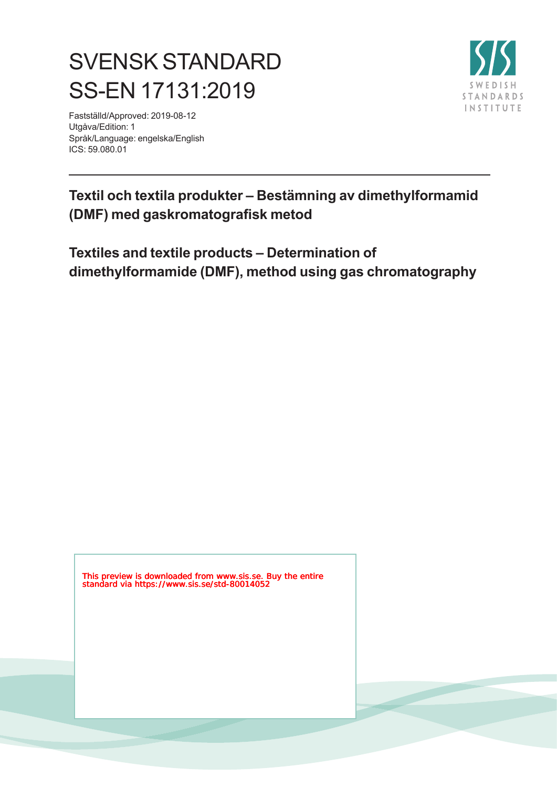# SVENSK STANDARD SS-EN 17131:2019

**SWEDISH STANDARDS INSTITUTE** 

Fastställd/Approved: 2019-08-12 Utgåva/Edition: 1 Språk/Language: engelska/English ICS: 59.080.01

# **Textil och textila produkter – Bestämning av dimethylformamid (DMF) med gaskromatografisk metod**

**Textiles and textile products – Determination of dimethylformamide (DMF), method using gas chromatography**

This preview is downloaded from www.sis.se. Buy the entire standard via https://www.sis.se/std-80014052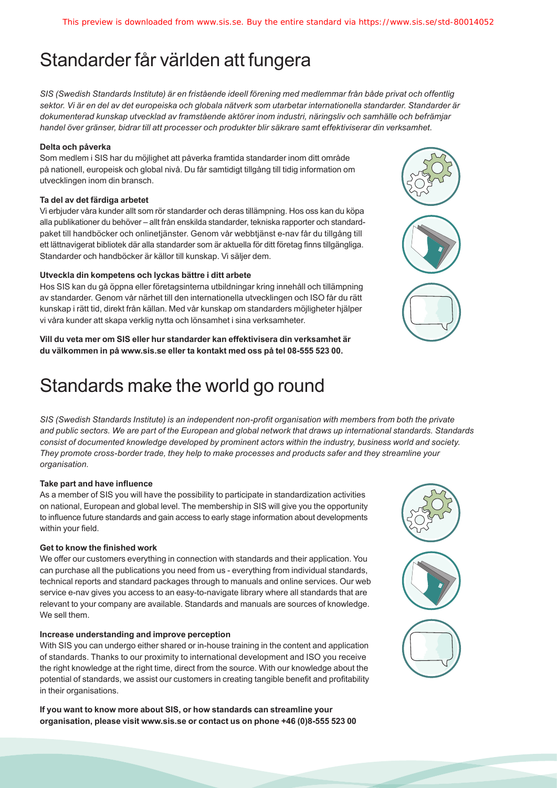# Standarder får världen att fungera

*SIS (Swedish Standards Institute) är en fristående ideell förening med medlemmar från både privat och offentlig sektor. Vi är en del av det europeiska och globala nätverk som utarbetar internationella standarder. Standarder är dokumenterad kunskap utvecklad av framstående aktörer inom industri, näringsliv och samhälle och befrämjar handel över gränser, bidrar till att processer och produkter blir säkrare samt effektiviserar din verksamhet.* 

### **Delta och påverka**

Som medlem i SIS har du möjlighet att påverka framtida standarder inom ditt område på nationell, europeisk och global nivå. Du får samtidigt tillgång till tidig information om utvecklingen inom din bransch.

### **Ta del av det färdiga arbetet**

Vi erbjuder våra kunder allt som rör standarder och deras tillämpning. Hos oss kan du köpa alla publikationer du behöver – allt från enskilda standarder, tekniska rapporter och standardpaket till handböcker och onlinetjänster. Genom vår webbtjänst e-nav får du tillgång till ett lättnavigerat bibliotek där alla standarder som är aktuella för ditt företag finns tillgängliga. Standarder och handböcker är källor till kunskap. Vi säljer dem.

### **Utveckla din kompetens och lyckas bättre i ditt arbete**

Hos SIS kan du gå öppna eller företagsinterna utbildningar kring innehåll och tillämpning av standarder. Genom vår närhet till den internationella utvecklingen och ISO får du rätt kunskap i rätt tid, direkt från källan. Med vår kunskap om standarders möjligheter hjälper vi våra kunder att skapa verklig nytta och lönsamhet i sina verksamheter.

**Vill du veta mer om SIS eller hur standarder kan effektivisera din verksamhet är du välkommen in på www.sis.se eller ta kontakt med oss på tel 08-555 523 00.**

# Standards make the world go round

*SIS (Swedish Standards Institute) is an independent non-profit organisation with members from both the private and public sectors. We are part of the European and global network that draws up international standards. Standards consist of documented knowledge developed by prominent actors within the industry, business world and society. They promote cross-border trade, they help to make processes and products safer and they streamline your organisation.*

### **Take part and have influence**

As a member of SIS you will have the possibility to participate in standardization activities on national, European and global level. The membership in SIS will give you the opportunity to influence future standards and gain access to early stage information about developments within your field.

### **Get to know the finished work**

We offer our customers everything in connection with standards and their application. You can purchase all the publications you need from us - everything from individual standards, technical reports and standard packages through to manuals and online services. Our web service e-nav gives you access to an easy-to-navigate library where all standards that are relevant to your company are available. Standards and manuals are sources of knowledge. We sell them.

### **Increase understanding and improve perception**

With SIS you can undergo either shared or in-house training in the content and application of standards. Thanks to our proximity to international development and ISO you receive the right knowledge at the right time, direct from the source. With our knowledge about the potential of standards, we assist our customers in creating tangible benefit and profitability in their organisations.

**If you want to know more about SIS, or how standards can streamline your organisation, please visit www.sis.se or contact us on phone +46 (0)8-555 523 00**



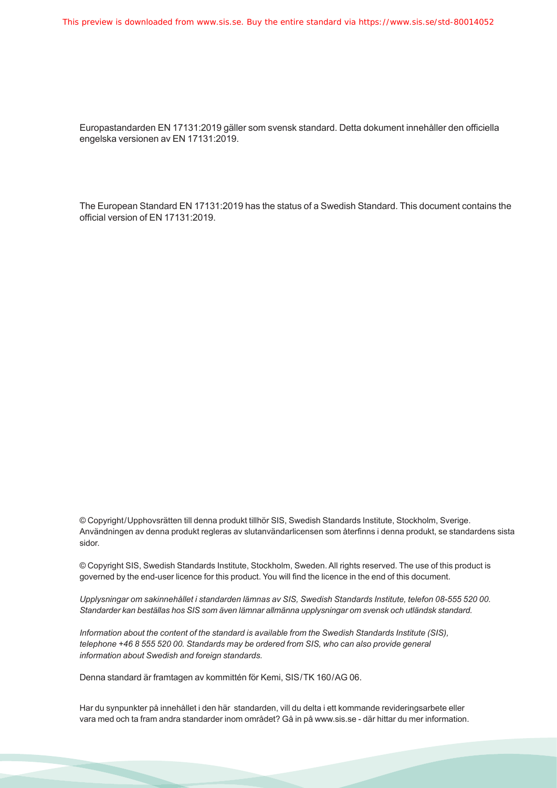Europastandarden EN 17131:2019 gäller som svensk standard. Detta dokument innehåller den officiella engelska versionen av EN 17131:2019.

The European Standard EN 17131:2019 has the status of a Swedish Standard. This document contains the official version of EN 17131:2019.

© Copyright / Upphovsrätten till denna produkt tillhör SIS, Swedish Standards Institute, Stockholm, Sverige. Användningen av denna produkt regleras av slutanvändarlicensen som återfinns i denna produkt, se standardens sista sidor.

© Copyright SIS, Swedish Standards Institute, Stockholm, Sweden. All rights reserved. The use of this product is governed by the end-user licence for this product. You will find the licence in the end of this document.

*Upplysningar om sakinnehållet i standarden lämnas av SIS, Swedish Standards Institute, telefon 08-555 520 00. Standarder kan beställas hos SIS som även lämnar allmänna upplysningar om svensk och utländsk standard.*

*Information about the content of the standard is available from the Swedish Standards Institute (SIS), telephone +46 8 555 520 00. Standards may be ordered from SIS, who can also provide general information about Swedish and foreign standards.*

Denna standard är framtagen av kommittén för Kemi, SIS/TK 160/AG 06.

Har du synpunkter på innehållet i den här standarden, vill du delta i ett kommande revideringsarbete eller vara med och ta fram andra standarder inom området? Gå in på www.sis.se - där hittar du mer information.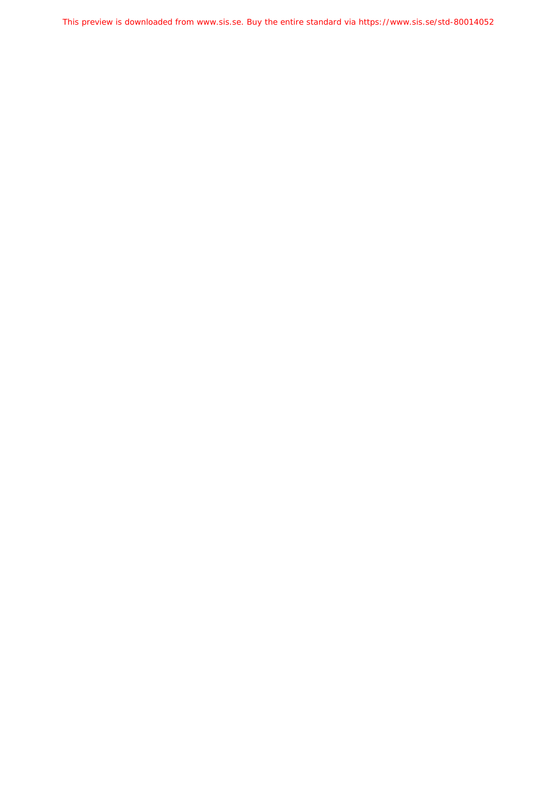This preview is downloaded from www.sis.se. Buy the entire standard via https://www.sis.se/std-80014052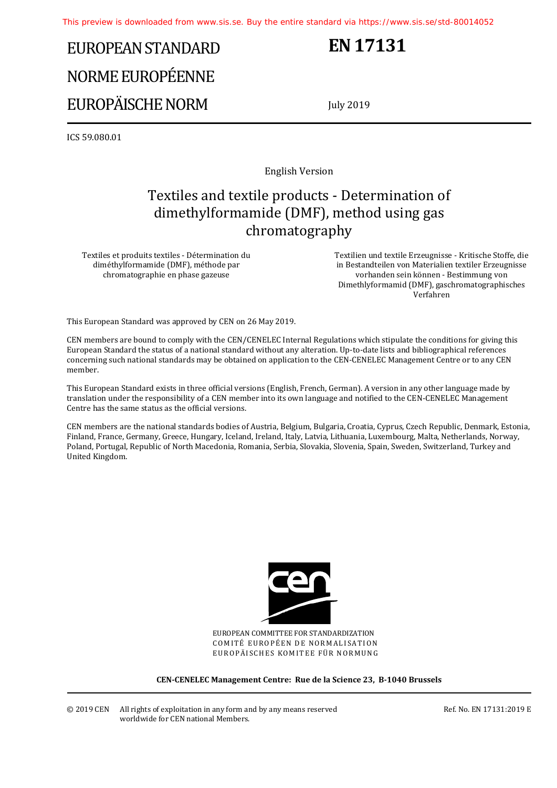# EUROPEAN STANDARD NORME EUROPÉENNE EUROPÄISCHE NORM

# **EN 17131**

July 2019

ICS 59.080.01

English Version

## Textiles and textile products - Determination of dimethylformamide (DMF), method using gas chromatography

Textiles et produits textiles - Détermination du diméthylformamide (DMF), méthode par chromatographie en phase gazeuse

 Textilien und textile Erzeugnisse - Kritische Stoffe, die in Bestandteilen von Materialien textiler Erzeugnisse vorhanden sein können - Bestimmung von Dimethlyformamid (DMF), gaschromatographisches Verfahren

This European Standard was approved by CEN on 26 May 2019.

CEN members are bound to comply with the CEN/CENELEC Internal Regulations which stipulate the conditions for giving this European Standard the status of a national standard without any alteration. Up-to-date lists and bibliographical references concerning such national standards may be obtained on application to the CEN-CENELEC Management Centre or to any CEN member.

This European Standard exists in three official versions (English, French, German). A version in any other language made by translation under the responsibility of a CEN member into its own language and notified to the CEN-CENELEC Management Centre has the same status as the official versions.

CEN members are the national standards bodies of Austria, Belgium, Bulgaria, Croatia, Cyprus, Czech Republic, Denmark, Estonia, Finland, France, Germany, Greece, Hungary, Iceland, Ireland, Italy, Latvia, Lithuania, Luxembourg, Malta, Netherlands, Norway, Poland, Portugal, Republic of North Macedonia, Romania, Serbia, Slovakia, Slovenia, Spain, Sweden, Switzerland, Turkey and United Kingdom.



EUROPEAN COMMITTEE FOR STANDARDIZATION COMITÉ EUROPÉEN DE NORMALISATION EUROPÄISCHES KOMITEE FÜR NORMUNG

**CEN-CENELEC Management Centre: Rue de la Science 23, B-1040 Brussels**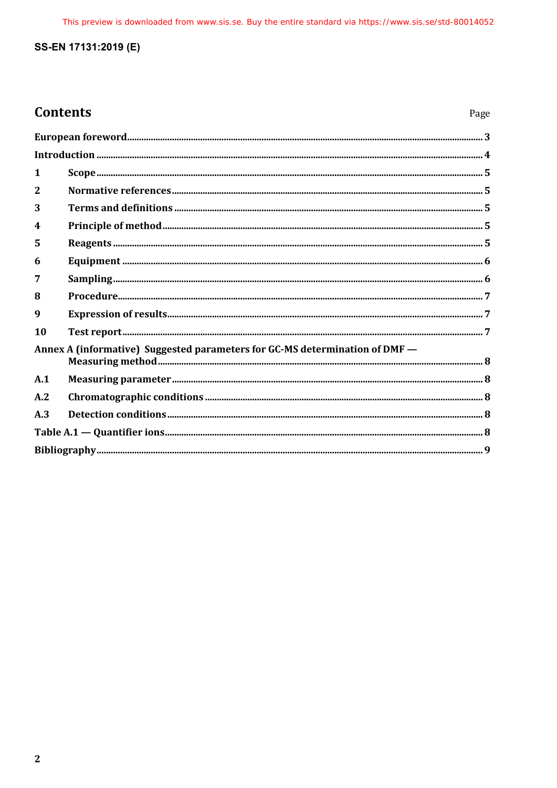Page

## SS-EN 17131:2019 (E)

## **Contents**

| 1                       |                                                                             |
|-------------------------|-----------------------------------------------------------------------------|
| $\overline{2}$          |                                                                             |
| 3                       |                                                                             |
| $\overline{\mathbf{4}}$ |                                                                             |
| 5                       |                                                                             |
| 6                       |                                                                             |
| 7                       |                                                                             |
| 8                       |                                                                             |
| 9                       |                                                                             |
| 10                      |                                                                             |
|                         | Annex A (informative) Suggested parameters for GC-MS determination of DMF - |
| A.1                     |                                                                             |
| A.2                     |                                                                             |
| A.3                     |                                                                             |
|                         |                                                                             |
|                         |                                                                             |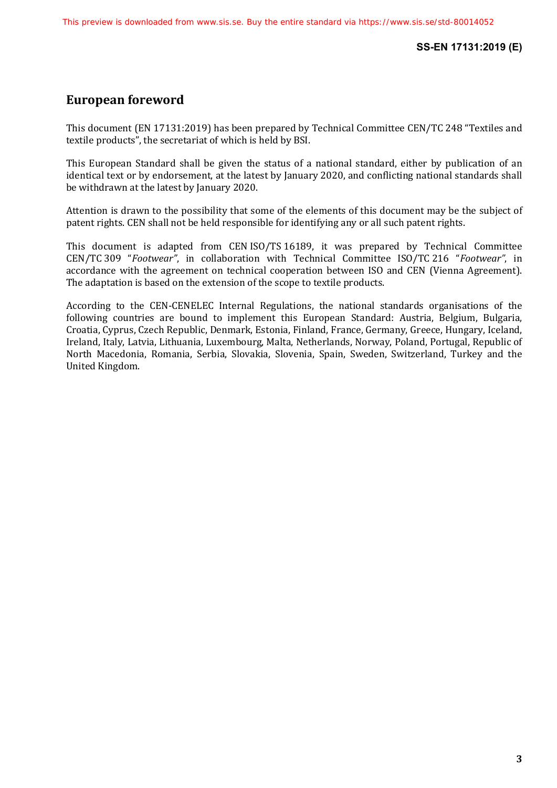## **SS-EN 17131:2019 (E)**

## <span id="page-6-0"></span>**European foreword**

This document (EN 17131:2019) has been prepared by Technical Committee CEN/TC 248 "Textiles and textile products", the secretariat of which is held by BSI.

This European Standard shall be given the status of a national standard, either by publication of an identical text or by endorsement, at the latest by January 2020, and conflicting national standards shall be withdrawn at the latest by January 2020.

Attention is drawn to the possibility that some of the elements of this document may be the subject of patent rights. CEN shall not be held responsible for identifying any or all such patent rights.

This document is adapted from CEN ISO/TS 16189, it was prepared by Technical Committee CEN/TC 309 "*Footwear"*, in collaboration with Technical Committee ISO/TC 216 "*Footwear"*, in accordance with the agreement on technical cooperation between ISO and CEN (Vienna Agreement). The adaptation is based on the extension of the scope to textile products.

According to the CEN-CENELEC Internal Regulations, the national standards organisations of the following countries are bound to implement this European Standard: Austria, Belgium, Bulgaria, Croatia, Cyprus, Czech Republic, Denmark, Estonia, Finland, France, Germany, Greece, Hungary, Iceland, Ireland, Italy, Latvia, Lithuania, Luxembourg, Malta, Netherlands, Norway, Poland, Portugal, Republic of North Macedonia, Romania, Serbia, Slovakia, Slovenia, Spain, Sweden, Switzerland, Turkey and the United Kingdom.